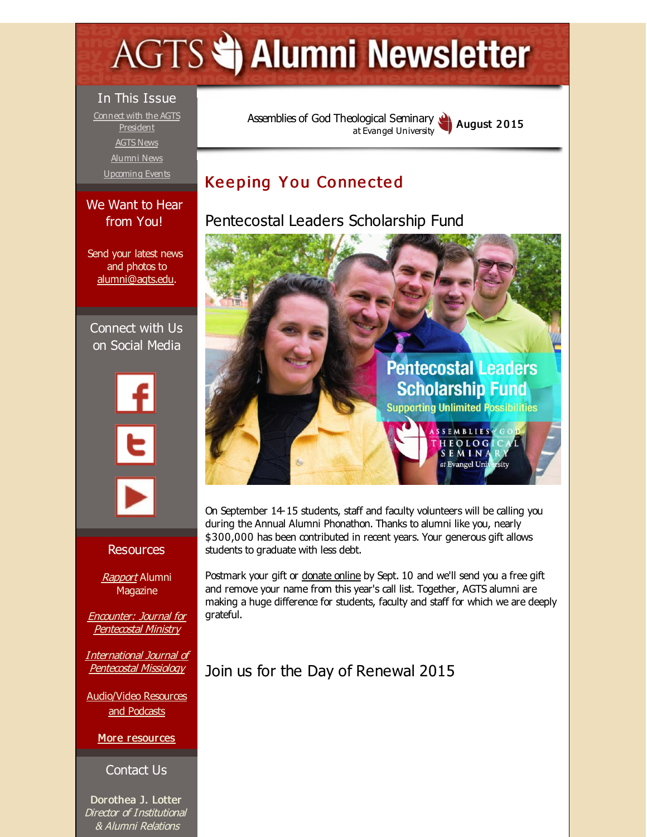# <span id="page-0-0"></span>**AGTS Statement Newsletter**

#### In This Issue

Connect with the AGTS [President](#page-0-0) [AGTS](#page-0-0) News [Alumni](#page-0-0) News [Upcoming](#page-0-0) Events

#### We Want to Hear from You!

Send your latest news and photos to [alumni@agts.edu](mailto:alumni@agts.edu).

#### Connect with Us on Social Media



#### Resources

[Rapport](http://r20.rs6.net/tn.jsp?f=001PHYsbnI4jwo9UNA6X_nm4u4Bs3EjRC7EXKvZ98pJ10XIpDZQdRpg-SNtm5cZS9RyMIlMPYy9S7U2gSIvbRBQHTC6byZY_t791615oK1nZksL7RTKsTo7H0cJVaCkfVMq2fvnuxTuD2lYt2dh-iVvLiullMFKm2lSGBes0lUGqMO1A5JXmyiIa9nhvO7saJJc&c=&ch=) Alumni **Magazine** 

Encounter: Journal for [Pentecostal](http://r20.rs6.net/tn.jsp?f=001PHYsbnI4jwo9UNA6X_nm4u4Bs3EjRC7EXKvZ98pJ10XIpDZQdRpg-Y6Amr7aR33w3fLqElJBXx2UQ6ff1fT8M9SXR3pmeGGe7nsfIjoWJg-qhBKFNDafisgQvO_9NE4V14orW8hQjovcOzPfGwT-xSwtQepdkaRz8g6wR3YwoxUWn2KFuqc30xaJGa_CdP3J&c=&ch=) Ministry

[International](http://r20.rs6.net/tn.jsp?f=001PHYsbnI4jwo9UNA6X_nm4u4Bs3EjRC7EXKvZ98pJ10XIpDZQdRpg-XxWKOh6v0qbKbwRuutRrzGc2TbIWqsXmBubDii5JPyEj4tQlbFu1jy7Y0D6Yz8JS8dLKs4ZfrYfh3JRKulAhJbhTlIds5zPbn0vbhYug4VyNLqwWika0kqUJC5AErzhY4W9XD-9M9bl&c=&ch=) Journal of Pentecostal Missiology

[Audio/Video](http://r20.rs6.net/tn.jsp?f=001PHYsbnI4jwo9UNA6X_nm4u4Bs3EjRC7EXKvZ98pJ10XIpDZQdRpg-QOl3bYpQ5frG9ZzqUjOEk-o6bpTV8YJwIROVrkpBuIdQ3IJ-2eRuNSsNejylAz6Kep-ok10mDZFT8TaWvWgdQ66e9rNKIoRmJHd5el-sgXzSU2t7KVfzbLlHwKwDP-_FPRiffpuq1Si&c=&ch=) Resources and Podcasts

#### More [resources](http://r20.rs6.net/tn.jsp?f=001PHYsbnI4jwo9UNA6X_nm4u4Bs3EjRC7EXKvZ98pJ10XIpDZQdRpg-Q4_-xKFy4q-zK1pOb28_Zirwqu16Kt9ip3c7ahJUUC0xbIidCvk5SnP2aohMnVD_JSEHXopAPDXgj8BK8y7GeLusgGiJgsOrRfM-DcpkNKQeTWzKCWVkuezczO6jhxwuOWy17_Wx1q-qUyQpCojTBQ=&c=&ch=)

Contact Us

Dorothea J. Lotter Director of Institutional & Alumni Relations

Assemblies of God [Theological](http://r20.rs6.net/tn.jsp?f=001PHYsbnI4jwo9UNA6X_nm4u4Bs3EjRC7EXKvZ98pJ10XIpDZQdRpg-SIbFNZ8a29GPBvOJbXDmx_6F-fMVdfDoZO1kvszU__kmVpgEmq2CytTR0MtMTCUfzsnWV4l2dthAR3yk6mgx4wOVGJQtWZSyupS-Qp9idXv&c=&ch=) Seminary at Evangel University **August 2015** 

# **Keeping You Connected**

Pentecostal Leaders Scholarship Fund



On September 14-15 students, staff and faculty volunteers will be calling you during the Annual Alumni Phonathon. Thanks to alumni like you, nearly \$300,000 has been contributed in recent years. Your generous gift allows students to graduate with less debt.

Postmark your gift or [donate](http://r20.rs6.net/tn.jsp?f=001PHYsbnI4jwo9UNA6X_nm4u4Bs3EjRC7EXKvZ98pJ10XIpDZQdRpg-cx8mgqD01E8VReVvGkeb1WzF8R72fJAt0R14iSu0DFRTlNMFSJU-eYp7njqil5GsmYq7ElywwYErvTbU5y4ZmtpiTJQ-jI5zDgIv5wU-m29bG0vCSrcQLsagsO8S7n-O2PGlJ0fQt9oALmwjzsG8MUL9OT9CXJuYLgTX2u5gpnN&c=&ch=) online by Sept. 10 and we'll send you a free gift and remove your name from this year's call list. Together, AGTS alumni are making a huge difference for students, faculty and staff for which we are deeply grateful.

#### Join us for the Day of Renewal 2015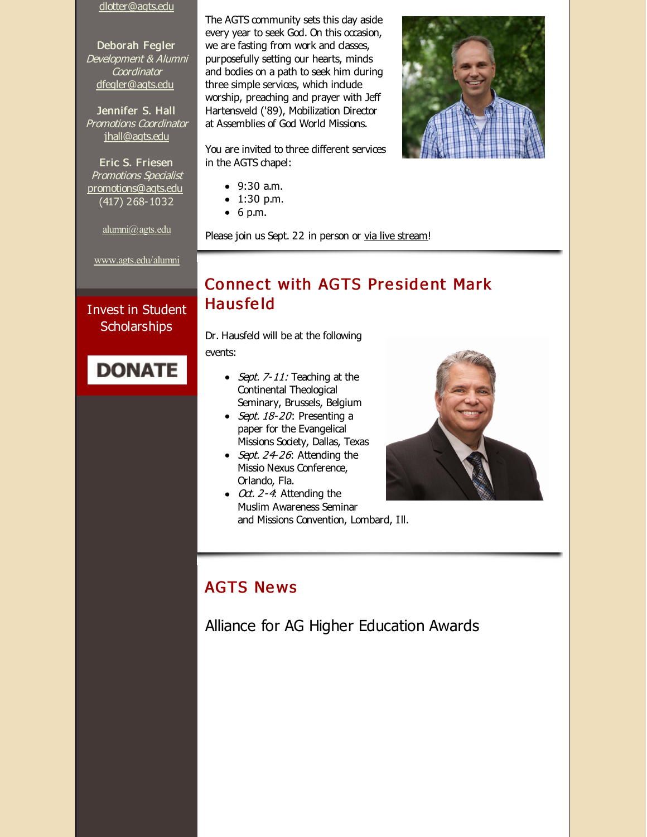[dlotter@agts.edu](mailto:dlotter@agts.edu)

Deborah Fegler Development & Alumni **Coordinator** [dfegler@agts.edu](mailto:dfegler@agts.edu)

Jennifer S. Hall Promotions Coordinator [jhall@agts.edu](mailto:jhall@agts.edu)

Eric S. Friesen Promotions Specialist [promotions@agts.edu](mailto:promotions@agts.edu) (417) 268-1032

The AGTS community sets this day aside every year to seek God. On this occasion, we are fasting from work and dasses, purposefully setting our hearts, minds and bodies on a path to seek him during three simple services, which indude worship, preaching and prayer with Jeff Hartensveld ('89), Mobilization Director at Assemblies of God World Missions.

You are invited to three different services in the AGTS chapel:



- 9:30 a.m.
- 1:30 p.m.
- $\bullet$  6 p.m.

[alumni@agts.edu](mailto:alumni@agts.edu)

[www.agts.edu/alumni](http://r20.rs6.net/tn.jsp?f=001PHYsbnI4jwo9UNA6X_nm4u4Bs3EjRC7EXKvZ98pJ10XIpDZQdRpg-Y9b6_ZzrEs7ZoM8np77A_2fHNP2kslCUTg5lFTX4WWOlCKBjQFjuEX9h1eVSZH55GNmSEZ3OjCx9i2ibjwfGWxidftDOcWZQ0zX72If0AD1k9DJZgCmh48PzjH66NQqrw==&c=&ch=)

Invest in Student **Scholarships** 

# **DONATE**

Please join us Sept. 22 in person or via live [stream](http://r20.rs6.net/tn.jsp?f=001PHYsbnI4jwo9UNA6X_nm4u4Bs3EjRC7EXKvZ98pJ10XIpDZQdRpg-TdlS1mjjDG1pgfIuzc4r9lmoR_p9bx4WWtMlXCngTYONK0xK7DuKIluRu-qdwKo_aREtOOpeQXWEmQGP0UxnraUXx72zo8vu9zSwwW60cTVWlCJX3a2-nNSbFBuS3XbIqUq-G3UHCfrAUTZpUXduuPcQoJlgpBBLOgkCYfoaXUf&c=&ch=)!

# **Connect with AGTS President Mark** Haus fe ld

Dr. Hausfeld will be at the following

events:

- Sept.  $7-11$ : Teaching at the Continental Theological Seminary, Brussels, Belgium
- Sept.  $18-20$ : Presenting a paper for the Evangelical Missions Society, Dallas, Texas
- Sept.  $24-26$ : Attending the Missio Nexus Conference, Orlando, Fla.
- $\cdot$  Oct. 2-4: Attending the Muslim Awareness Seminar and Missions Convention, Lombard, Ill.



## **AGTS News**

Alliance for AG Higher Education Awards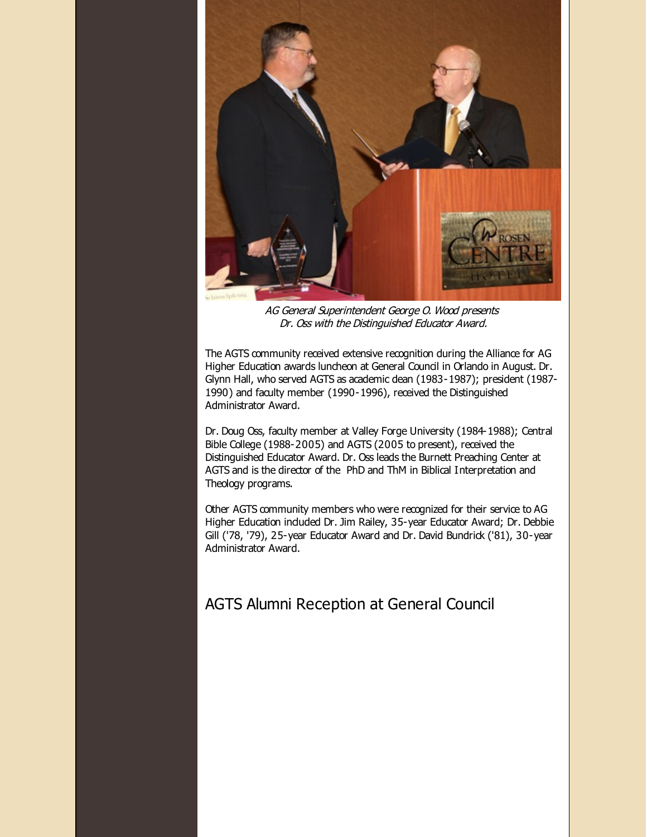

AG General Superintendent George O. Wood presents Dr. Oss with the Distinguished Educator Award.

The AGTS community received extensive recognition during the Alliance for AG Higher Education awards luncheon at General Council in Orlando in August. Dr. Glynn Hall, who served AGTS as academic dean (1983-1987); president (1987- 1990) and faculty member (1990-1996), received the Distinguished Administrator Award.

Dr. Doug Oss, faculty member at Valley Forge University (1984-1988); Central Bible College (1988-2005) and AGTS (2005 to present), received the Distinguished Educator Award. Dr. Oss leads the Burnett Preaching Center at AGTS and is the director of the PhD and ThM in Biblical Interpretation and Theology programs.

Other AGTS community members who were recognized for their service to AG Higher Education induded Dr. Jim Railey, 35-year Educator Award; Dr. Debbie Gill ('78, '79), 25-year Educator Award and Dr. David Bundrick ('81), 30-year Administrator Award.

#### AGTS Alumni Reception at General Council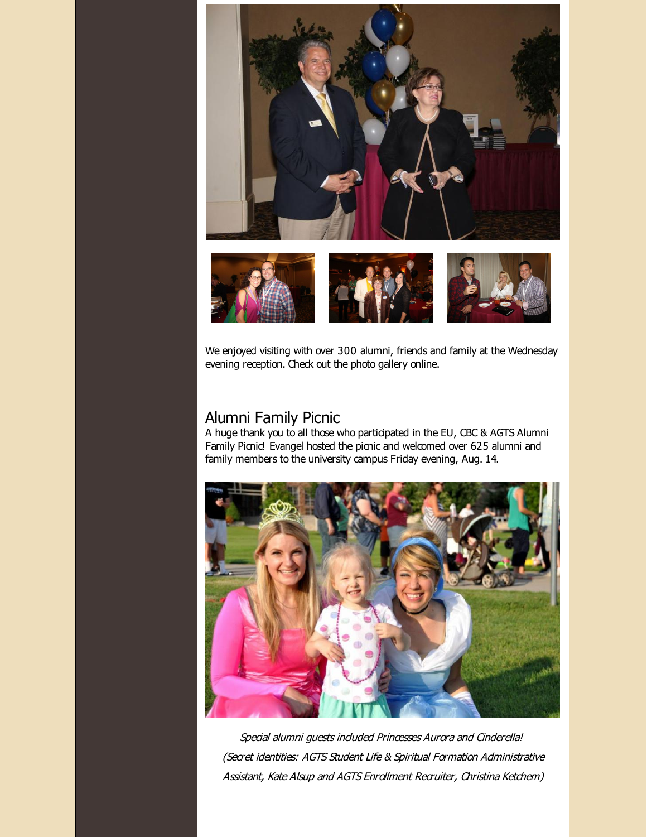

We enjoyed visiting with over 300 alumni, friends and family at the Wednesday evening reception. Check out the photo [gallery](http://r20.rs6.net/tn.jsp?f=001PHYsbnI4jwo9UNA6X_nm4u4Bs3EjRC7EXKvZ98pJ10XIpDZQdRpg-TdlS1mjjDG1G2jbgI9GTf-XLy4mtZuZYLypACJVrkE1icSol_QnS9HofpfRtzFFy3ORVqF25kUJ280yE43bDBPqdOssPA93p2I7OsRdwuX7G4nyGRQBG_h-O6cLvPA1PhRhjzZ_TpydnHBb8KY263Qq4YJGbBEabpLd9B3b61a5Ve7V9q3NDjallLG22w86qVzDbNP69elCMecWD2QaeyO3cl_cxe3DMw==&c=&ch=) online.

#### Alumni Family Picnic

A huge thank you to all those who participated in the EU, CBC & AGTS Alumni Family Picnic! Evangel hosted the picnic and welcomed over 625 alumni and family members to the university campus Friday evening, Aug. 14.



Special alumni guests induded Princesses Aurora and Cinderella! (Secret identities: AGTS Student Life & Spiritual Formation Administrative Assistant, Kate Alsup and AGTS Enrollment Recruiter, Christina Ketchem)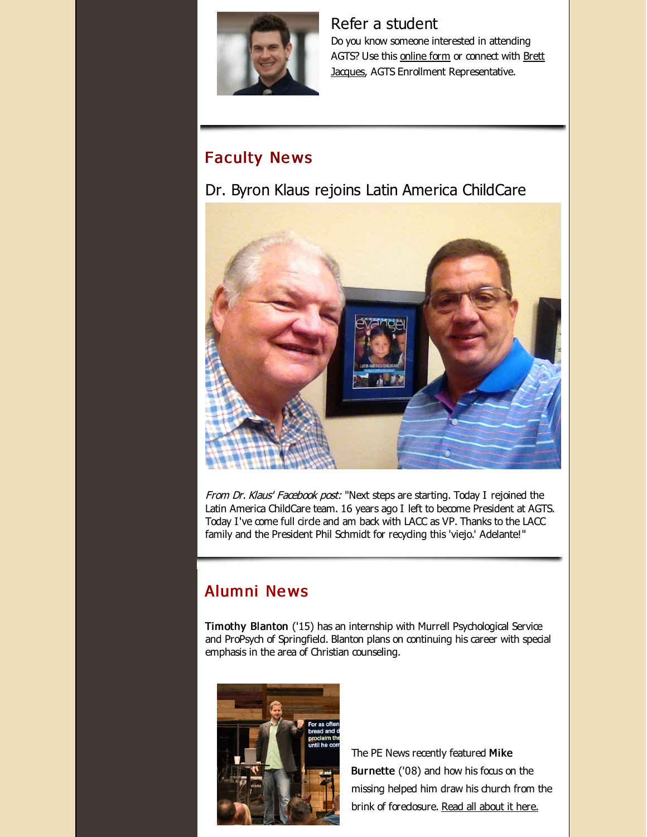

Refer a student Do you know someone interested in attending AGTS? Use this [online](http://r20.rs6.net/tn.jsp?f=001PHYsbnI4jwo9UNA6X_nm4u4Bs3EjRC7EXKvZ98pJ10XIpDZQdRpg-doXV448D5jUgwgcdjyTKS58LHU3bGKWCh_W9KA0ZNZEbQXVKCzpYMJqbPkzTjM8N3LmBD4qt8izdACteBJUvgk7C9QiRkphv-vgcjeMHK2nI-aBU6QXGJrH2sM3vOyTg69l3rCNulsa&c=&ch=) form or connect with Brett Jacques, AGTS Enrollment [Representative.](mailto:jacquesb@evangel.edu)

## Faculty Ne ws





From Dr. Klaus' Facebook post: "Next steps are starting. Today I rejoined the Latin America ChildCare team. 16 years ago I left to become President at AGTS. Today I've come full circle and am back with LACC as VP. Thanks to the LACC family and the President Phil Schmidt for recyding this 'viejo.' Adelante!"

# Alumni Ne ws

Timothy Blanton ('15) has an internship with Murrell Psychological Service and ProPsych of Springfield. Blanton plans on continuing his career with special emphasis in the area of Christian counseling.



The PE News recently featured Mike Burnette ('08) and how his focus on the missing helped him draw his church from the brink of foredosure. Read all [about](http://r20.rs6.net/tn.jsp?f=001PHYsbnI4jwo9UNA6X_nm4u4Bs3EjRC7EXKvZ98pJ10XIpDZQdRpg-TdlS1mjjDG1v7hgAYEqzYpWIp2eN49fKxmY5L4yg22rVayU82zopfTwDrIRoDxtjWDIQp91MEBXyvXdGcEyGjK_3GB0HcuzrPKaS2pigeMaBvvnv5jAXYuTFhX9I6lltFaYMFXAluOro01w1uwnOPky-dXIKWx2zV2MsD3cMz79w8TyjiJU0mQ2N0l8JH2oDkQGB7acsW3K&c=&ch=) it here.